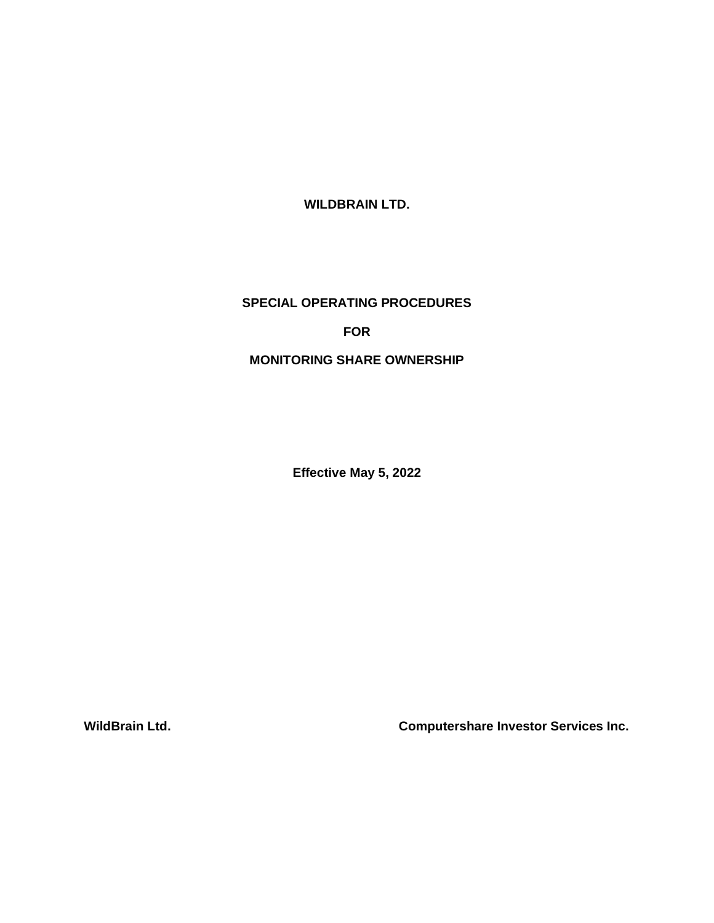**WILDBRAIN LTD.**

## **SPECIAL OPERATING PROCEDURES**

**FOR**

## **MONITORING SHARE OWNERSHIP**

**Effective May 5, 2022**

**WildBrain Ltd. Computershare Investor Services Inc.**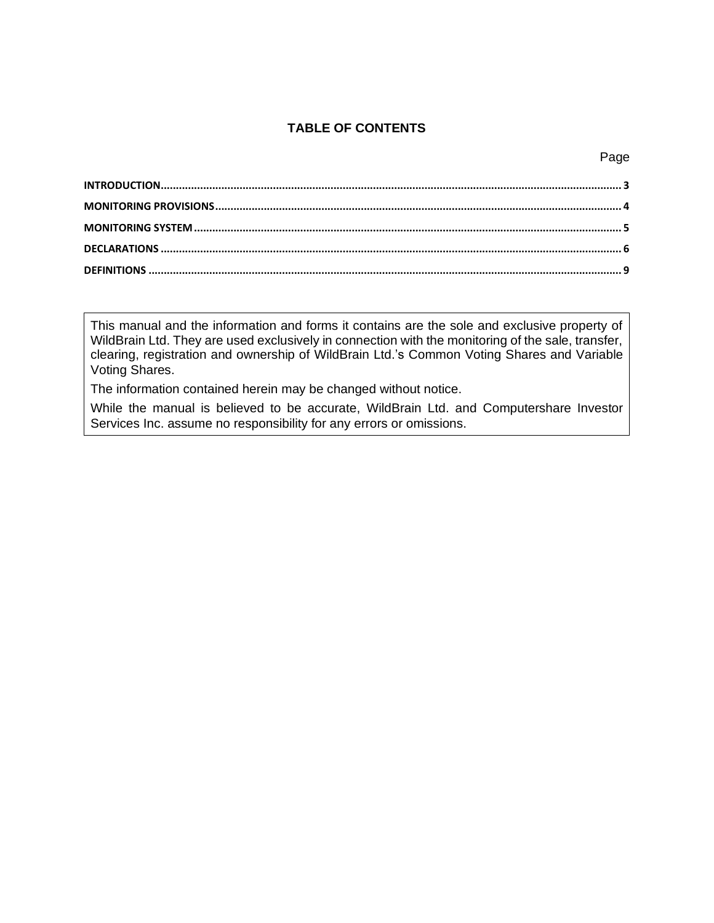## **TABLE OF CONTENTS**

This manual and the information and forms it contains are the sole and exclusive property of WildBrain Ltd. They are used exclusively in connection with the monitoring of the sale, transfer, clearing, registration and ownership of WildBrain Ltd.'s Common Voting Shares and Variable Voting Shares.

The information contained herein may be changed without notice.

While the manual is believed to be accurate, WildBrain Ltd. and Computershare Investor Services Inc. assume no responsibility for any errors or omissions.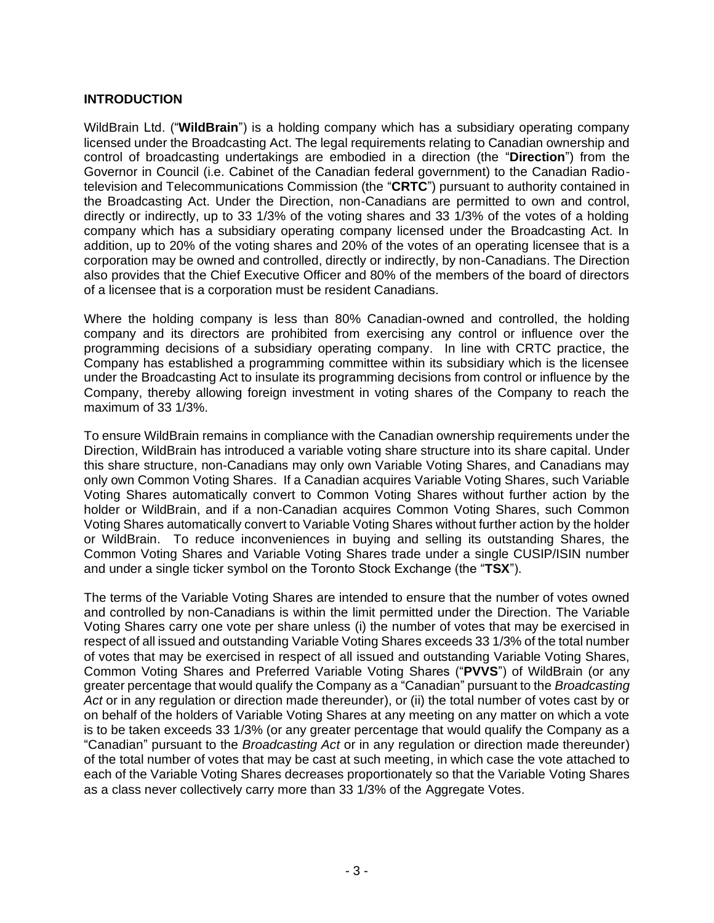## <span id="page-2-0"></span>**INTRODUCTION**

WildBrain Ltd. ("**WildBrain**") is a holding company which has a subsidiary operating company licensed under the Broadcasting Act. The legal requirements relating to Canadian ownership and control of broadcasting undertakings are embodied in a direction (the "**Direction**") from the Governor in Council (i.e. Cabinet of the Canadian federal government) to the Canadian Radiotelevision and Telecommunications Commission (the "**CRTC**") pursuant to authority contained in the Broadcasting Act. Under the Direction, non-Canadians are permitted to own and control, directly or indirectly, up to 33 1/3% of the voting shares and 33 1/3% of the votes of a holding company which has a subsidiary operating company licensed under the Broadcasting Act. In addition, up to 20% of the voting shares and 20% of the votes of an operating licensee that is a corporation may be owned and controlled, directly or indirectly, by non-Canadians. The Direction also provides that the Chief Executive Officer and 80% of the members of the board of directors of a licensee that is a corporation must be resident Canadians.

Where the holding company is less than 80% Canadian-owned and controlled, the holding company and its directors are prohibited from exercising any control or influence over the programming decisions of a subsidiary operating company. In line with CRTC practice, the Company has established a programming committee within its subsidiary which is the licensee under the Broadcasting Act to insulate its programming decisions from control or influence by the Company, thereby allowing foreign investment in voting shares of the Company to reach the maximum of 33 1/3%.

To ensure WildBrain remains in compliance with the Canadian ownership requirements under the Direction, WildBrain has introduced a variable voting share structure into its share capital. Under this share structure, non-Canadians may only own Variable Voting Shares, and Canadians may only own Common Voting Shares. If a Canadian acquires Variable Voting Shares, such Variable Voting Shares automatically convert to Common Voting Shares without further action by the holder or WildBrain, and if a non-Canadian acquires Common Voting Shares, such Common Voting Shares automatically convert to Variable Voting Shares without further action by the holder or WildBrain. To reduce inconveniences in buying and selling its outstanding Shares, the Common Voting Shares and Variable Voting Shares trade under a single CUSIP/ISIN number and under a single ticker symbol on the Toronto Stock Exchange (the "**TSX**").

The terms of the Variable Voting Shares are intended to ensure that the number of votes owned and controlled by non-Canadians is within the limit permitted under the Direction. The Variable Voting Shares carry one vote per share unless (i) the number of votes that may be exercised in respect of all issued and outstanding Variable Voting Shares exceeds 33 1/3% of the total number of votes that may be exercised in respect of all issued and outstanding Variable Voting Shares, Common Voting Shares and Preferred Variable Voting Shares ("**PVVS**") of WildBrain (or any greater percentage that would qualify the Company as a "Canadian" pursuant to the *Broadcasting Act* or in any regulation or direction made thereunder), or (ii) the total number of votes cast by or on behalf of the holders of Variable Voting Shares at any meeting on any matter on which a vote is to be taken exceeds 33 1/3% (or any greater percentage that would qualify the Company as a "Canadian" pursuant to the *Broadcasting Act* or in any regulation or direction made thereunder) of the total number of votes that may be cast at such meeting, in which case the vote attached to each of the Variable Voting Shares decreases proportionately so that the Variable Voting Shares as a class never collectively carry more than 33 1/3% of the Aggregate Votes.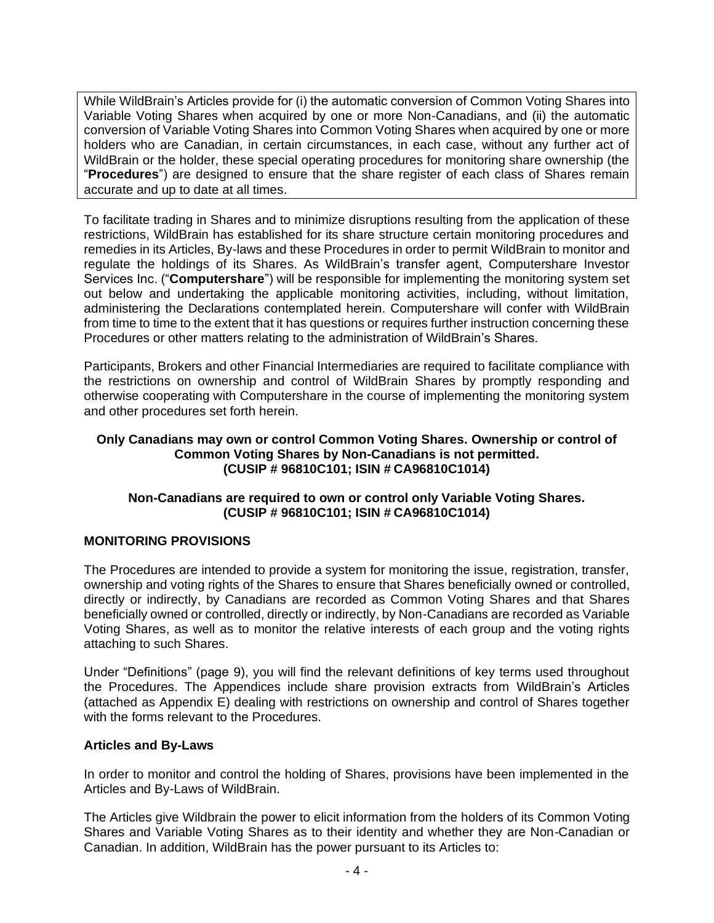While WildBrain's Articles provide for (i) the automatic conversion of Common Voting Shares into Variable Voting Shares when acquired by one or more Non-Canadians, and (ii) the automatic conversion of Variable Voting Shares into Common Voting Shares when acquired by one or more holders who are Canadian, in certain circumstances, in each case, without any further act of WildBrain or the holder, these special operating procedures for monitoring share ownership (the "**Procedures**") are designed to ensure that the share register of each class of Shares remain accurate and up to date at all times.

To facilitate trading in Shares and to minimize disruptions resulting from the application of these restrictions, WildBrain has established for its share structure certain monitoring procedures and remedies in its Articles, By-laws and these Procedures in order to permit WildBrain to monitor and regulate the holdings of its Shares. As WildBrain's transfer agent, Computershare Investor Services Inc. ("**Computershare**") will be responsible for implementing the monitoring system set out below and undertaking the applicable monitoring activities, including, without limitation, administering the Declarations contemplated herein. Computershare will confer with WildBrain from time to time to the extent that it has questions or requires further instruction concerning these Procedures or other matters relating to the administration of WildBrain's Shares.

Participants, Brokers and other Financial Intermediaries are required to facilitate compliance with the restrictions on ownership and control of WildBrain Shares by promptly responding and otherwise cooperating with Computershare in the course of implementing the monitoring system and other procedures set forth herein.

## **Only Canadians may own or control Common Voting Shares. Ownership or control of Common Voting Shares by Non-Canadians is not permitted. (CUSIP # 96810C101; ISIN # CA96810C1014)**

## **Non-Canadians are required to own or control only Variable Voting Shares. (CUSIP # 96810C101; ISIN # CA96810C1014)**

## <span id="page-3-0"></span>**MONITORING PROVISIONS**

The Procedures are intended to provide a system for monitoring the issue, registration, transfer, ownership and voting rights of the Shares to ensure that Shares beneficially owned or controlled, directly or indirectly, by Canadians are recorded as Common Voting Shares and that Shares beneficially owned or controlled, directly or indirectly, by Non-Canadians are recorded as Variable Voting Shares, as well as to monitor the relative interests of each group and the voting rights attaching to such Shares.

Under "Definitions" (page [9\)](#page-8-0), you will find the relevant definitions of key terms used throughout the Procedures. The Appendices include share provision extracts from WildBrain's Articles (attached as Appendix E) dealing with restrictions on ownership and control of Shares together with the forms relevant to the Procedures.

## **Articles and By-Laws**

In order to monitor and control the holding of Shares, provisions have been implemented in the Articles and By-Laws of WildBrain.

The Articles give Wildbrain the power to elicit information from the holders of its Common Voting Shares and Variable Voting Shares as to their identity and whether they are Non-Canadian or Canadian. In addition, WildBrain has the power pursuant to its Articles to: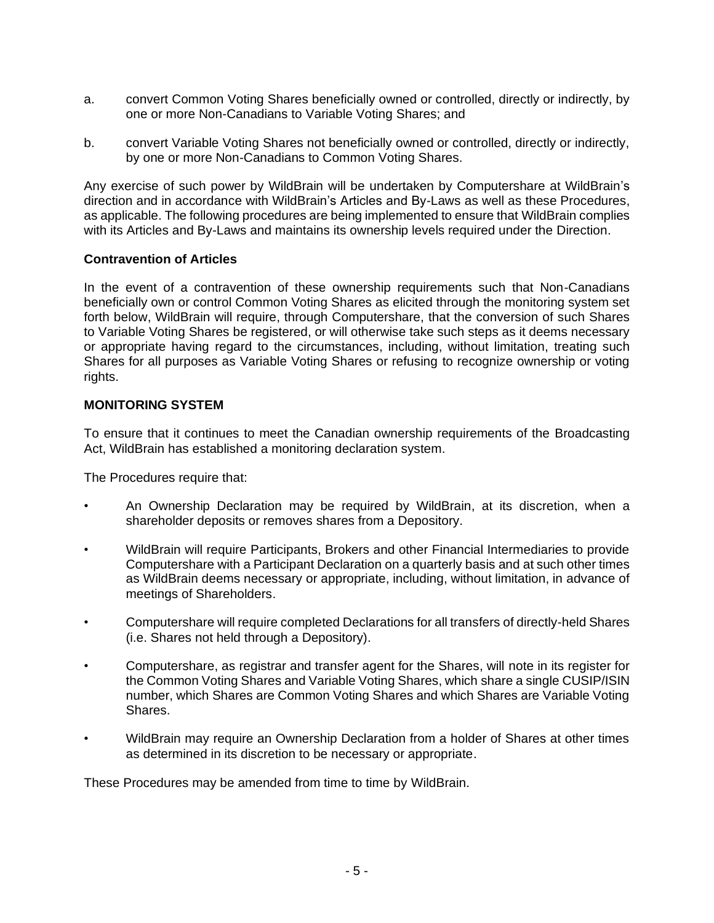- a. convert Common Voting Shares beneficially owned or controlled, directly or indirectly, by one or more Non-Canadians to Variable Voting Shares; and
- b. convert Variable Voting Shares not beneficially owned or controlled, directly or indirectly, by one or more Non-Canadians to Common Voting Shares.

Any exercise of such power by WildBrain will be undertaken by Computershare at WildBrain's direction and in accordance with WildBrain's Articles and By-Laws as well as these Procedures, as applicable. The following procedures are being implemented to ensure that WildBrain complies with its Articles and By-Laws and maintains its ownership levels required under the Direction.

## **Contravention of Articles**

In the event of a contravention of these ownership requirements such that Non-Canadians beneficially own or control Common Voting Shares as elicited through the monitoring system set forth below, WildBrain will require, through Computershare, that the conversion of such Shares to Variable Voting Shares be registered, or will otherwise take such steps as it deems necessary or appropriate having regard to the circumstances, including, without limitation, treating such Shares for all purposes as Variable Voting Shares or refusing to recognize ownership or voting rights.

## <span id="page-4-0"></span>**MONITORING SYSTEM**

To ensure that it continues to meet the Canadian ownership requirements of the Broadcasting Act, WildBrain has established a monitoring declaration system.

The Procedures require that:

- An Ownership Declaration may be required by WildBrain, at its discretion, when a shareholder deposits or removes shares from a Depository.
- WildBrain will require Participants, Brokers and other Financial Intermediaries to provide Computershare with a Participant Declaration on a quarterly basis and at such other times as WildBrain deems necessary or appropriate, including, without limitation, in advance of meetings of Shareholders.
- Computershare will require completed Declarations for all transfers of directly-held Shares (i.e. Shares not held through a Depository).
- Computershare, as registrar and transfer agent for the Shares, will note in its register for the Common Voting Shares and Variable Voting Shares, which share a single CUSIP/ISIN number, which Shares are Common Voting Shares and which Shares are Variable Voting Shares.
- WildBrain may require an Ownership Declaration from a holder of Shares at other times as determined in its discretion to be necessary or appropriate.

These Procedures may be amended from time to time by WildBrain.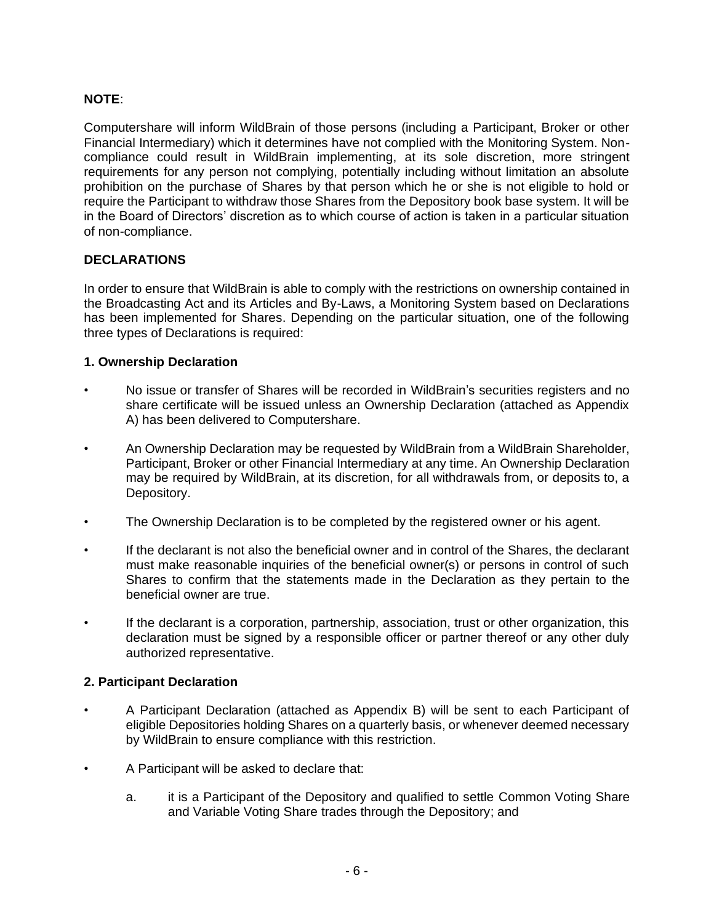# **NOTE**:

Computershare will inform WildBrain of those persons (including a Participant, Broker or other Financial Intermediary) which it determines have not complied with the Monitoring System. Noncompliance could result in WildBrain implementing, at its sole discretion, more stringent requirements for any person not complying, potentially including without limitation an absolute prohibition on the purchase of Shares by that person which he or she is not eligible to hold or require the Participant to withdraw those Shares from the Depository book base system. It will be in the Board of Directors' discretion as to which course of action is taken in a particular situation of non-compliance.

# <span id="page-5-0"></span>**DECLARATIONS**

In order to ensure that WildBrain is able to comply with the restrictions on ownership contained in the Broadcasting Act and its Articles and By-Laws, a Monitoring System based on Declarations has been implemented for Shares. Depending on the particular situation, one of the following three types of Declarations is required:

## **1. Ownership Declaration**

- No issue or transfer of Shares will be recorded in WildBrain's securities registers and no share certificate will be issued unless an Ownership Declaration (attached as Appendix A) has been delivered to Computershare.
- An Ownership Declaration may be requested by WildBrain from a WildBrain Shareholder, Participant, Broker or other Financial Intermediary at any time. An Ownership Declaration may be required by WildBrain, at its discretion, for all withdrawals from, or deposits to, a Depository.
- The Ownership Declaration is to be completed by the registered owner or his agent.
- If the declarant is not also the beneficial owner and in control of the Shares, the declarant must make reasonable inquiries of the beneficial owner(s) or persons in control of such Shares to confirm that the statements made in the Declaration as they pertain to the beneficial owner are true.
- If the declarant is a corporation, partnership, association, trust or other organization, this declaration must be signed by a responsible officer or partner thereof or any other duly authorized representative.

# **2. Participant Declaration**

- A Participant Declaration (attached as Appendix B) will be sent to each Participant of eligible Depositories holding Shares on a quarterly basis, or whenever deemed necessary by WildBrain to ensure compliance with this restriction.
- A Participant will be asked to declare that:
	- a. it is a Participant of the Depository and qualified to settle Common Voting Share and Variable Voting Share trades through the Depository; and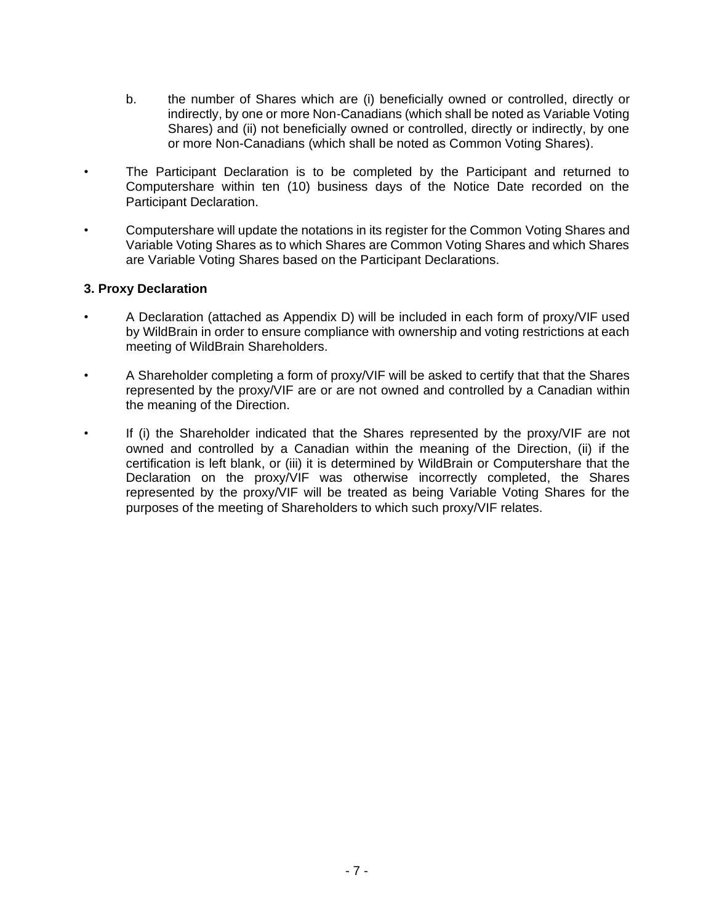- b. the number of Shares which are (i) beneficially owned or controlled, directly or indirectly, by one or more Non-Canadians (which shall be noted as Variable Voting Shares) and (ii) not beneficially owned or controlled, directly or indirectly, by one or more Non-Canadians (which shall be noted as Common Voting Shares).
- The Participant Declaration is to be completed by the Participant and returned to Computershare within ten (10) business days of the Notice Date recorded on the Participant Declaration.
- Computershare will update the notations in its register for the Common Voting Shares and Variable Voting Shares as to which Shares are Common Voting Shares and which Shares are Variable Voting Shares based on the Participant Declarations.

## **3. Proxy Declaration**

- A Declaration (attached as Appendix D) will be included in each form of proxy/VIF used by WildBrain in order to ensure compliance with ownership and voting restrictions at each meeting of WildBrain Shareholders.
- A Shareholder completing a form of proxy/VIF will be asked to certify that that the Shares represented by the proxy/VIF are or are not owned and controlled by a Canadian within the meaning of the Direction.
- If (i) the Shareholder indicated that the Shares represented by the proxy/VIF are not owned and controlled by a Canadian within the meaning of the Direction, (ii) if the certification is left blank, or (iii) it is determined by WildBrain or Computershare that the Declaration on the proxy/VIF was otherwise incorrectly completed, the Shares represented by the proxy/VIF will be treated as being Variable Voting Shares for the purposes of the meeting of Shareholders to which such proxy/VIF relates.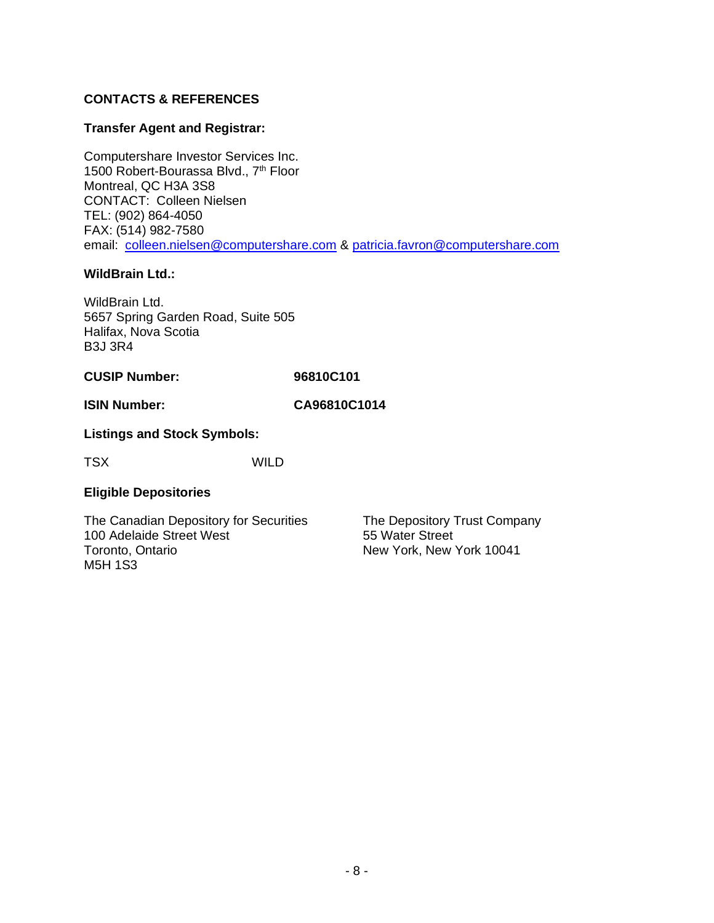# **CONTACTS & REFERENCES**

## **Transfer Agent and Registrar:**

Computershare Investor Services Inc. 1500 Robert-Bourassa Blvd., 7<sup>th</sup> Floor Montreal, QC H3A 3S8 CONTACT: Colleen Nielsen TEL: (902) 864-4050 FAX: (514) 982-7580 email: [colleen.nielsen@computershare.com](mailto:colleen.nielsen@computershare.com) & [patricia.favron@computershare.com](mailto:patricia.favron@computershare.com)

## **WildBrain Ltd.:**

WildBrain Ltd. 5657 Spring Garden Road, Suite 505 Halifax, Nova Scotia B3J 3R4

## **CUSIP Number: 96810C101**

## **ISIN Number: CA96810C1014**

## **Listings and Stock Symbols:**

TSX WILD

## **Eligible Depositories**

The Canadian Depository for Securities 100 Adelaide Street West Toronto, Ontario M5H 1S3

The Depository Trust Company 55 Water Street New York, New York 10041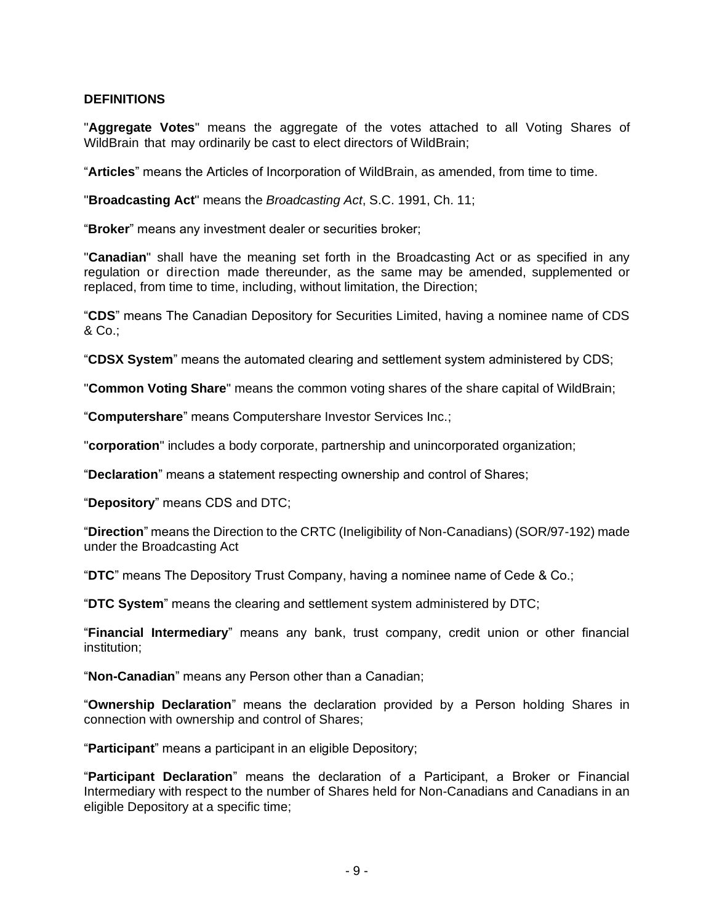## <span id="page-8-0"></span>**DEFINITIONS**

"**Aggregate Votes**" means the aggregate of the votes attached to all Voting Shares of WildBrain that may ordinarily be cast to elect directors of WildBrain;

"**Articles**" means the Articles of Incorporation of WildBrain, as amended, from time to time.

"**Broadcasting Act**" means the *Broadcasting Act*, S.C. 1991, Ch. 11;

"**Broker**" means any investment dealer or securities broker;

"**Canadian**" shall have the meaning set forth in the Broadcasting Act or as specified in any regulation or direction made thereunder, as the same may be amended, supplemented or replaced, from time to time, including, without limitation, the Direction;

"**CDS**" means The Canadian Depository for Securities Limited, having a nominee name of CDS & Co.;

"**CDSX System**" means the automated clearing and settlement system administered by CDS;

"**Common Voting Share**" means the common voting shares of the share capital of WildBrain;

"**Computershare**" means Computershare Investor Services Inc.;

"**corporation**" includes a body corporate, partnership and unincorporated organization;

"**Declaration**" means a statement respecting ownership and control of Shares;

"**Depository**" means CDS and DTC;

"**Direction**" means the Direction to the CRTC (Ineligibility of Non-Canadians) (SOR/97-192) made under the Broadcasting Act

"**DTC**" means The Depository Trust Company, having a nominee name of Cede & Co.;

"**DTC System**" means the clearing and settlement system administered by DTC;

"**Financial Intermediary**" means any bank, trust company, credit union or other financial institution;

"**Non-Canadian**" means any Person other than a Canadian;

"**Ownership Declaration**" means the declaration provided by a Person holding Shares in connection with ownership and control of Shares;

"**Participant**" means a participant in an eligible Depository;

"**Participant Declaration**" means the declaration of a Participant, a Broker or Financial Intermediary with respect to the number of Shares held for Non-Canadians and Canadians in an eligible Depository at a specific time;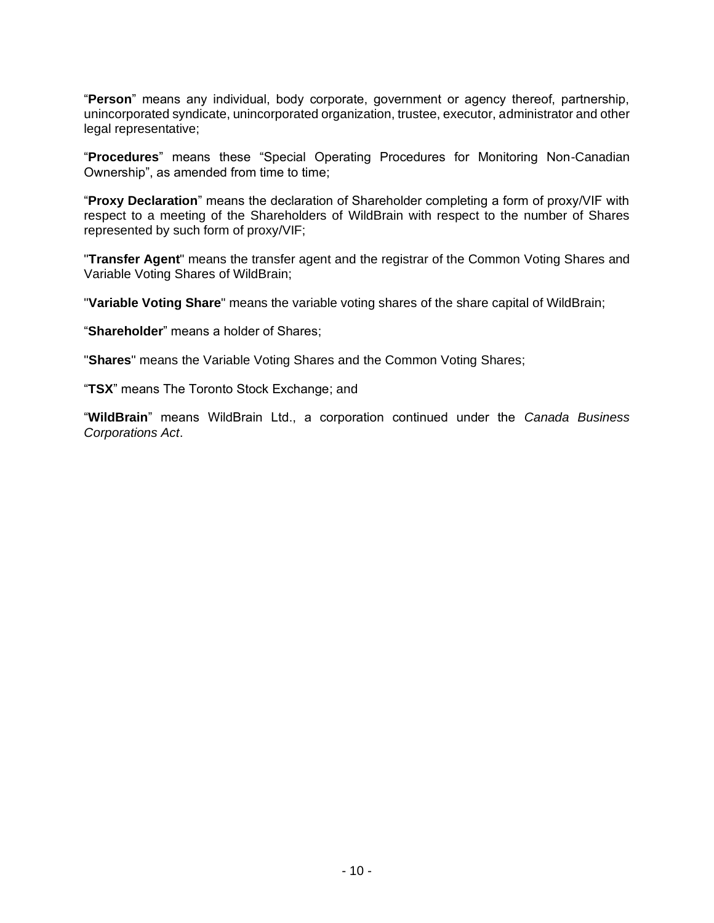"**Person**" means any individual, body corporate, government or agency thereof, partnership, unincorporated syndicate, unincorporated organization, trustee, executor, administrator and other legal representative;

"**Procedures**" means these "Special Operating Procedures for Monitoring Non-Canadian Ownership", as amended from time to time;

"**Proxy Declaration**" means the declaration of Shareholder completing a form of proxy/VIF with respect to a meeting of the Shareholders of WildBrain with respect to the number of Shares represented by such form of proxy/VIF;

"**Transfer Agent**" means the transfer agent and the registrar of the Common Voting Shares and Variable Voting Shares of WildBrain;

"**Variable Voting Share**" means the variable voting shares of the share capital of WildBrain;

"**Shareholder**" means a holder of Shares;

"**Shares**" means the Variable Voting Shares and the Common Voting Shares;

"**TSX**" means The Toronto Stock Exchange; and

"**WildBrain**" means WildBrain Ltd., a corporation continued under the *Canada Business Corporations Act*.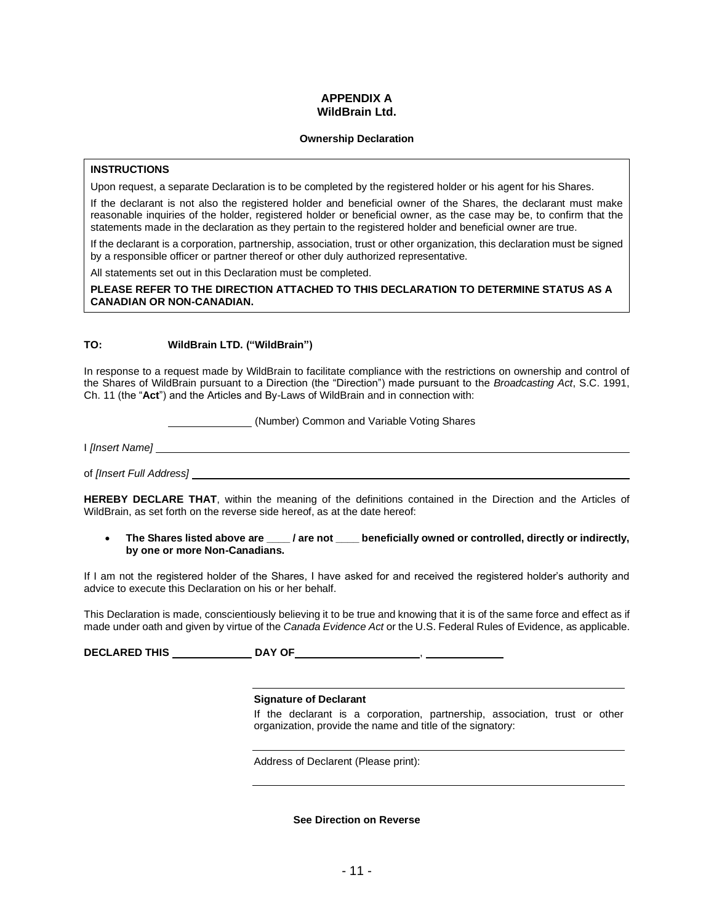#### **APPENDIX A WildBrain Ltd.**

#### **Ownership Declaration**

#### **INSTRUCTIONS**

Upon request, a separate Declaration is to be completed by the registered holder or his agent for his Shares.

If the declarant is not also the registered holder and beneficial owner of the Shares, the declarant must make reasonable inquiries of the holder, registered holder or beneficial owner, as the case may be, to confirm that the statements made in the declaration as they pertain to the registered holder and beneficial owner are true.

If the declarant is a corporation, partnership, association, trust or other organization, this declaration must be signed by a responsible officer or partner thereof or other duly authorized representative.

All statements set out in this Declaration must be completed.

**PLEASE REFER TO THE DIRECTION ATTACHED TO THIS DECLARATION TO DETERMINE STATUS AS A CANADIAN OR NON-CANADIAN.**

#### **TO: WildBrain LTD. ("WildBrain")**

In response to a request made by WildBrain to facilitate compliance with the restrictions on ownership and control of the Shares of WildBrain pursuant to a Direction (the "Direction") made pursuant to the *Broadcasting Act*, S.C. 1991, Ch. 11 (the "**Act**") and the Articles and By-Laws of WildBrain and in connection with:

(Number) Common and Variable Voting Shares

I *[Insert Name]*

of *[Insert Full Address]* 

**HEREBY DECLARE THAT**, within the meaning of the definitions contained in the Direction and the Articles of WildBrain, as set forth on the reverse side hereof, as at the date hereof:

• **The Shares listed above are \_\_\_\_ / are not \_\_\_\_ beneficially owned or controlled, directly or indirectly, by one or more Non-Canadians.**

If I am not the registered holder of the Shares, I have asked for and received the registered holder's authority and advice to execute this Declaration on his or her behalf.

This Declaration is made, conscientiously believing it to be true and knowing that it is of the same force and effect as if made under oath and given by virtue of the *Canada Evidence Act* or the U.S. Federal Rules of Evidence, as applicable.

**DECLARED THIS DAY OF** ,

#### **Signature of Declarant**

If the declarant is a corporation, partnership, association, trust or other organization, provide the name and title of the signatory:

Address of Declarent (Please print):

**See Direction on Reverse**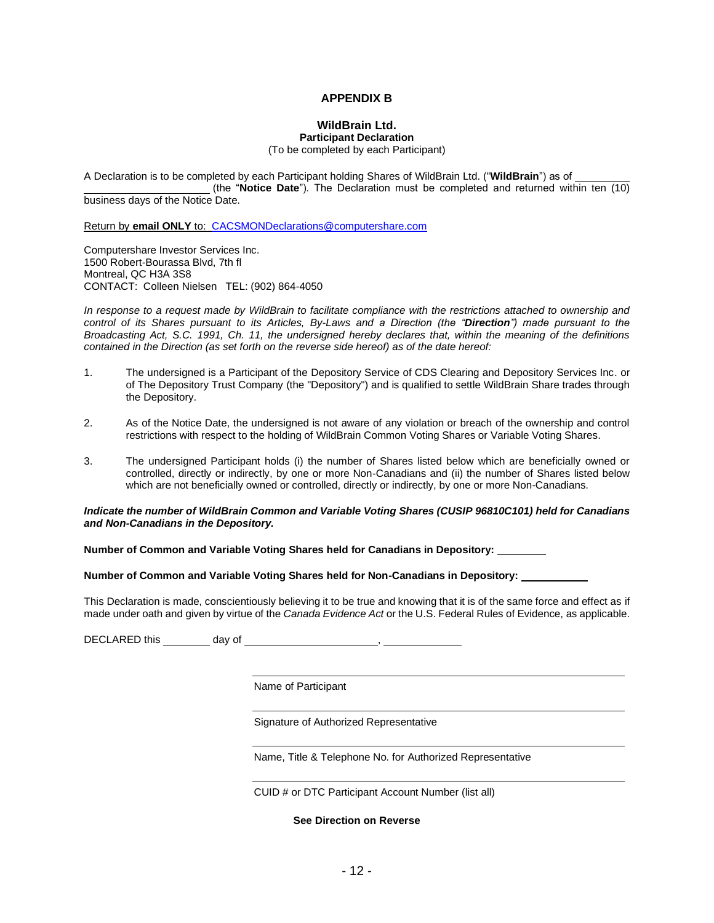#### **APPENDIX B**

#### **WildBrain Ltd. Participant Declaration**

(To be completed by each Participant)

A Declaration is to be completed by each Participant holding Shares of WildBrain Ltd. ("**WildBrain**") as of (the "**Notice Date**"). The Declaration must be completed and returned within ten (10) business days of the Notice Date.

Return by **email ONLY** to: [CACSMONDeclarations@computershare.com](mailto:CACSMONDeclarations@computershare.com)

Computershare Investor Services Inc. 1500 Robert-Bourassa Blvd, 7th fl Montreal, QC H3A 3S8 CONTACT: Colleen Nielsen TEL: (902) 864-4050

*In response to a request made by WildBrain to facilitate compliance with the restrictions attached to ownership and control of its Shares pursuant to its Articles, By-Laws and a Direction (the "Direction") made pursuant to the Broadcasting Act, S.C. 1991, Ch. 11, the undersigned hereby declares that, within the meaning of the definitions contained in the Direction (as set forth on the reverse side hereof) as of the date hereof:*

- 1. The undersigned is a Participant of the Depository Service of CDS Clearing and Depository Services Inc. or of The Depository Trust Company (the "Depository") and is qualified to settle WildBrain Share trades through the Depository.
- 2. As of the Notice Date, the undersigned is not aware of any violation or breach of the ownership and control restrictions with respect to the holding of WildBrain Common Voting Shares or Variable Voting Shares.
- 3. The undersigned Participant holds (i) the number of Shares listed below which are beneficially owned or controlled, directly or indirectly, by one or more Non-Canadians and (ii) the number of Shares listed below which are not beneficially owned or controlled, directly or indirectly, by one or more Non-Canadians.

#### *Indicate the number of WildBrain Common and Variable Voting Shares (CUSIP 96810C101) held for Canadians and Non-Canadians in the Depository.*

**Number of Common and Variable Voting Shares held for Canadians in Depository:** 

#### **Number of Common and Variable Voting Shares held for Non-Canadians in Depository:**

This Declaration is made, conscientiously believing it to be true and knowing that it is of the same force and effect as if made under oath and given by virtue of the *Canada Evidence Act* or the U.S. Federal Rules of Evidence, as applicable.

DECLARED this day of ,

Name of Participant

Signature of Authorized Representative

Name, Title & Telephone No. for Authorized Representative

CUID # or DTC Participant Account Number (list all)

**See Direction on Reverse**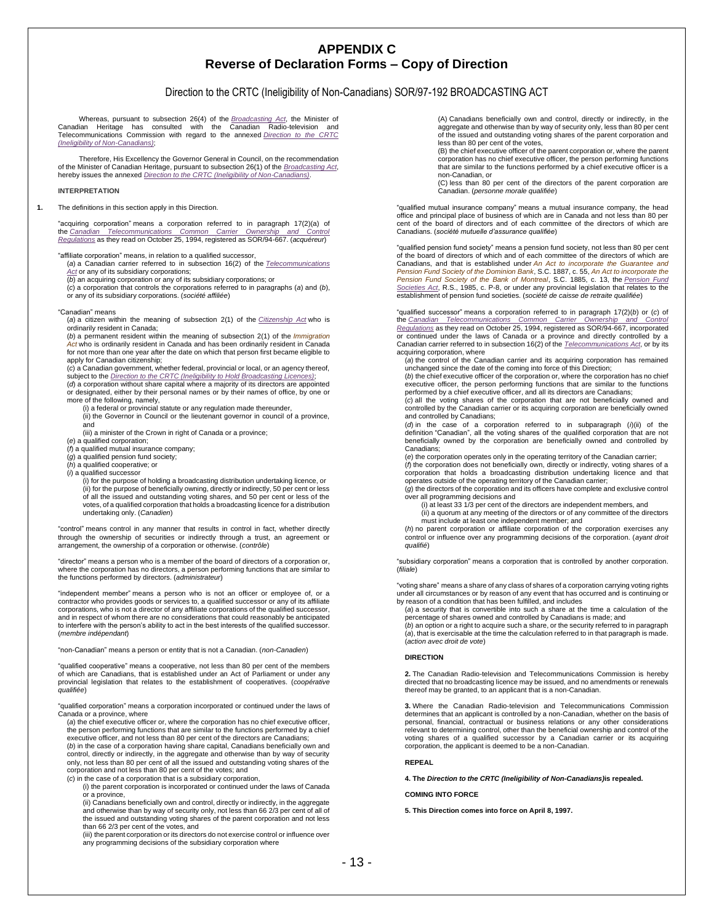## **APPENDIX C Reverse of Declaration Forms – Copy of Direction**

#### Direction to the CRTC (Ineligibility of Non-Canadians) SOR/97-192 BROADCASTING ACT

Whereas, pursuant to subsection 26(4) of the *Broadcasting Act*, the Minister of Canadian Heritage has consulted with the Canadian Radio-television and Telecommunications Commission with regard to the annexed *[Direction to the CRTC](http://laws.justice.gc.ca/eng/regulations/SOR-97-192)  [\(Ineligibility of Non-Canadians\)](http://laws.justice.gc.ca/eng/regulations/SOR-97-192)*;

Therefore, His Excellency the Governor General in Council, on the recommendation of the Minister of Canadian Heritage, pursuant to subsection 26(1) of the *Broadcasting Act*, hereby issues the annexed *Direction to the [CRTC \(Ineligibility of Non-Canadians\)](http://laws.justice.gc.ca/eng/regulations/SOR-97-192)*.

#### **INTERPRETATION**

#### **1.** The definitions in this section apply in this Direction.

"acquiring corporation" means a corporation referred to in paragraph 17(2)(a) of the *[Canadian Telecommunications Common Carrier Ownership and Control](http://laws.justice.gc.ca/eng/regulations/SOR-94-667)  [Regulations](http://laws.justice.gc.ca/eng/regulations/SOR-94-667)* as they read on October 25, 1994, registered as SOR/94-667. (*acquéreur*)

"affiliate corporation" means, in relation to a qualified successor,

(*a*) a Canadian carrier referred to in subsection 16(2) of the *[Telecommunications](http://laws.justice.gc.ca/eng/acts/T-3.4)  [Act](http://laws.justice.gc.ca/eng/acts/T-3.4)* or any of its subsidiary corporations;

(*b*) an acquiring corporation or any of its subsidiary corporations; or

(*c*) a corporation that controls the corporations referred to in paragraphs (*a*) and (*b*), or any of its subsidiary corporations. (*société affiliée*)

#### "Canadian" means

(*a*) a citizen within the meaning of subsection 2(1) of the *[Citizenship Act](http://laws.justice.gc.ca/eng/acts/C-29)* who is ordinarily resident in Canada;

(*b*) a permanent resident within the meaning of subsection 2(1) of the *Immigration Act* who is ordinarily resident in Canada and has been ordinarily resident in Canada for not more than one year after the date on which that person first became eligible to apply for Canadian citizenship;

(*c*) a Canadian government, whether federal, provincial or local, or an agency thereof, subject to the *[Direction to the CRTC \(Ineligibility to Hold Broadcasting Licences\)](http://laws.justice.gc.ca/eng/regulations/SOR-85-627)*;

(*d*) a corporation without share capital where a majority of its directors are appointed

or designated, either by their personal names or by their names of office, by one or more of the following, namely,

(i) a federal or provincial statute or any regulation made thereunder, (ii) the Governor in Council or the lieutenant governor in council of a province,

and (iii) a minister of the Crown in right of Canada or a province;

(*e*) a qualified corporation;

(*f*) a qualified mutual insurance company;

(*g*) a qualified pension fund society;

(*h*) a qualified cooperative; or

(*i*) a qualified successor

(i) for the purpose of holding a broadcasting distribution undertaking licence, or (ii) for the purpose of beneficially owning, directly or indirectly, 50 per cent or less of all the issued and outstanding voting shares, and 50 per cent or less of the votes, of a qualified corporation that holds a broadcasting licence for a distribution undertaking only. (*Canadien*)

"control" means control in any manner that results in control in fact, whether directly through the ownership of securities or indirectly through a trust, an agreement or arrangement, the ownership of a corporation or otherwise. (*contrôle*)

"director" means a person who is a member of the board of directors of a corporation or, where the corporation has no directors, a person performing functions that are similar to the functions performed by directors. (*administrateur*)

"independent member" means a person who is not an officer or employee of, or a contractor who provides goods or services to, a qualified successor or any of its affiliate corporations, who is not a director of any affiliate corporations of the qualified successor, and in respect of whom there are no considerations that could reasonably be anticipated to interfere with the person's ability to act in the best interests of the qualified successor. (*membre indépendant*)

"non-Canadian" means a person or entity that is not a Canadian. (*non-Canadien*)

"qualified cooperative" means a cooperative, not less than 80 per cent of the members of which are Canadians, that is established under an Act of Parliament or under any provincial legislation that relates to the establishment of cooperatives. (*coopérative qualifiée*)

"qualified corporation" means a corporation incorporated or continued under the laws of Canada or a province, where

(*a*) the chief executive officer or, where the corporation has no chief executive officer, the person performing functions that are similar to the functions performed by a chief executive officer, and not less than 80 per cent of the directors are Canadians;

(*b*) in the case of a corporation having share capital, Canadians beneficially own and control, directly or indirectly, in the aggregate and otherwise than by way of security only, not less than 80 per cent of all the issued and outstanding voting shares of the corporation and not less than 80 per cent of the votes; and

(*c*) in the case of a corporation that is a subsidiary corporation,

(i) the parent corporation is incorporated or continued under the laws of Canada or a province,

(ii) Canadians beneficially own and control, directly or indirectly, in the aggregate and otherwise than by way of security only, not less than 66 2/3 per cent of all of the issued and outstanding voting shares of the parent corporation and not less than 66 2/3 per cent of the votes, and

(iii) the parent corporation or its directors do not exercise control or influence over any programming decisions of the subsidiary corporation where

(A) Canadians beneficially own and control, directly or indirectly, in the aggregate and otherwise than by way of security only, less than 80 per cent of the issued and outstanding voting shares of the parent corporation and less than 80 per cent of the votes,

(B) the chief executive officer of the parent corporation or, where the parent corporation has no chief executive officer, the person performing functions that are similar to the functions performed by a chief executive officer is a non-Canadian, or

(C) less than 80 per cent of the directors of the parent corporation are Canadian. (*personne morale qualifiée*)

"qualified mutual insurance company" means a mutual insurance company, the head office and principal place of business of which are in Canada and not less than 80 per cent of the board of directors and of each committee of the directors of which are Canadians. (*société mutuelle d'assurance qualifiée*)

"qualified pension fund society" means a pension fund society, not less than 80 per cent of the board of directors of which and of each committee of the directors of which are Canadians, and that is established under *An Act to incorporate the Guarantee and*<br>*[Pension Fund](http://laws.justice.gc.ca/eng/acts/P-8) Society of the Dominion Bank*, S.C. 1887, c. 55, *An Act to incorporate the*<br>*Pension Fund Society of the Bank of Montreal*, *[Societies Act](http://laws.justice.gc.ca/eng/acts/P-8)*, R.S., 1985, c. P-8, or under any provincial legislation that relates to the establishment of pension fund societies. (*société de caisse de retraite qualifiée*)

"qualified successor" means a corporation referred to in paragraph 17(2)(*b*) or (*c*) of the Canadian Telecommunications Common Carrier Ownership and Control<br><u>[Regulations](http://laws.justice.gc.ca/eng/regulations/SOR-94-667)</u> as they read on October 25,1994, registered as SOR/94-667, incorporated<br>or continued under the laws of Canada or a province and directly co Canadian carrier referred to in subsection 16(2) of the *[Telecommunications Act](http://laws.justice.gc.ca/eng/acts/T-3.4)*, or by its acquiring corporation, where (*a*) the control of the Canadian carrier and its acquiring corporation has remained

unchanged since the date of the coming into force of this Direction; (*b*) the chief executive officer of the corporation or, where the corporation has no chief

executive officer, the person performing functions that are similar to the functions performed by a chief executive officer, and all its directors are Canadians;

(*c*) all the voting shares of the corporation that are not beneficially owned and controlled by the Canadian carrier or its acquiring corporation are beneficially owned and controlled by Canadians;

(*d*) in the case of a corporation referred to in subparagraph (*i*)(ii) of the<br>definition "Canadian", all the voting shares of the qualified corporation that are not<br>beneficially owned by the corporation are beneficially Canadians;

(*e*) the corporation operates only in the operating territory of the Canadian carrier;

(*f*) the corporation does not beneficially own, directly or indirectly, voting shares of a corporation that holds a broadcasting distribution undertaking licence and that operates outside of the operating territory of the Canadian carrier;

(*g*) the directors of the corporation and its officers have complete and exclusive control over all programming decisions and

(i) at least 33 1/3 per cent of the directors are independent members, and

(ii) a quorum at any meeting of the directors or of any committee of the directors must include at least one independent member; and

(*h*) no parent corporation or affiliate corporation of the corporation exercises any control or influence over any programming decisions of the corporation. (*ayant droit qualifié*)

"subsidiary corporation" means a corporation that is controlled by another corporation. (*filiale*)

"voting share" means a share of any class of shares of a corporation carrying voting rights under all circumstances or by reason of any event that has occurred and is continuing or by reason of a condition that has been fulfilled, and includes

(*a*) a security that is convertible into such a share at the time a calculation of the percentage of shares owned and controlled by Canadians is made; and

(*b*) an option or a right to acquire such a share, or the security referred to in paragraph (*a*), that is exercisable at the time the calculation referred to in that paragraph is made. (*action avec droit de vote*)

#### **DIRECTION**

**2.** The Canadian Radio-television and Telecommunications Commission is hereby directed that no broadcasting licence may be issued, and no amendments or renewals thereof may be granted, to an applicant that is a non-Canadian.

**3.** Where the Canadian Radio-television and Telecommunications Commission determines that an applicant is controlled by a non-Canadian, whether on the basis of personal, financial, contractual or business relations or any other considerations relevant to determining control, other than the beneficial ownership and control of the voting shares of a qualified successor by a Canadian carrier or its acquiring corporation, the applicant is deemed to be a non-Canadian.

**REPEAL**

**4. The** *Direction to the CRTC (Ineligibility of Non-Canadians)***is repealed.**

**COMING INTO FORCE**

**5. This Direction comes into force on April 8, 1997.**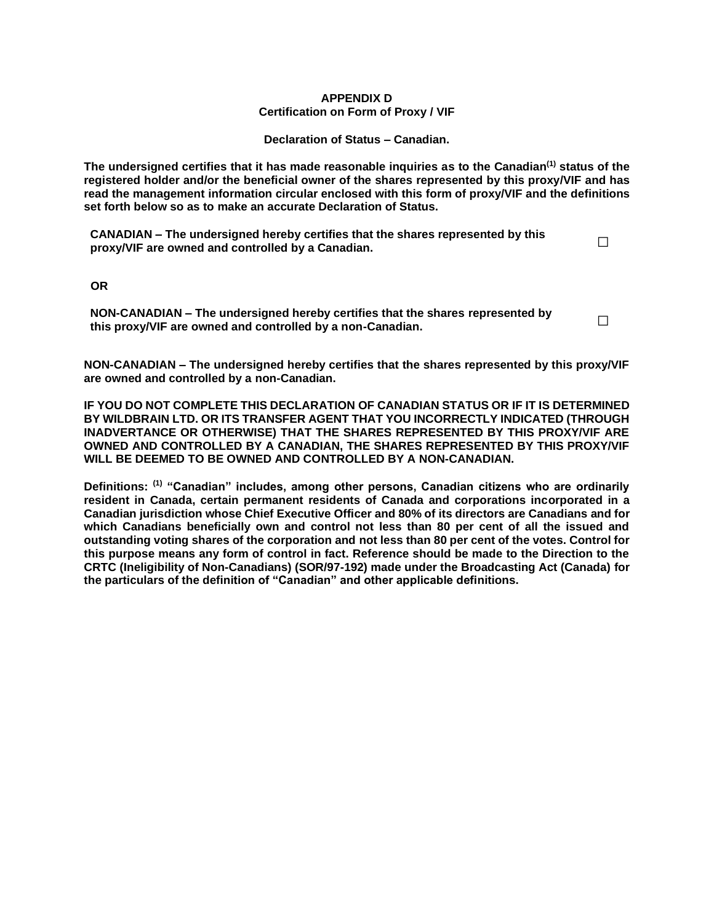#### **APPENDIX D Certification on Form of Proxy / VIF**

**Declaration of Status – Canadian.**

**The undersigned certifies that it has made reasonable inquiries as to the Canadian(1) status of the registered holder and/or the beneficial owner of the shares represented by this proxy/VIF and has read the management information circular enclosed with this form of proxy/VIF and the definitions set forth below so as to make an accurate Declaration of Status.**

**CANADIAN – The undersigned hereby certifies that the shares represented by this proxy/VIF are owned and controlled by a Canadian. □**

 **OR**

**NON-CANADIAN – The undersigned hereby certifies that the shares represented by this proxy/VIF are owned and controlled by a non-Canadian. □**

**NON-CANADIAN – The undersigned hereby certifies that the shares represented by this proxy/VIF are owned and controlled by a non-Canadian.**

**IF YOU DO NOT COMPLETE THIS DECLARATION OF CANADIAN STATUS OR IF IT IS DETERMINED BY WILDBRAIN LTD. OR ITS TRANSFER AGENT THAT YOU INCORRECTLY INDICATED (THROUGH INADVERTANCE OR OTHERWISE) THAT THE SHARES REPRESENTED BY THIS PROXY/VIF ARE OWNED AND CONTROLLED BY A CANADIAN, THE SHARES REPRESENTED BY THIS PROXY/VIF WILL BE DEEMED TO BE OWNED AND CONTROLLED BY A NON-CANADIAN.** 

**Definitions: (1) "Canadian" includes, among other persons, Canadian citizens who are ordinarily resident in Canada, certain permanent residents of Canada and corporations incorporated in a Canadian jurisdiction whose Chief Executive Officer and 80% of its directors are Canadians and for which Canadians beneficially own and control not less than 80 per cent of all the issued and outstanding voting shares of the corporation and not less than 80 per cent of the votes. Control for this purpose means any form of control in fact. Reference should be made to the Direction to the CRTC (Ineligibility of Non-Canadians) (SOR/97-192) made under the Broadcasting Act (Canada) for the particulars of the definition of "Canadian" and other applicable definitions.**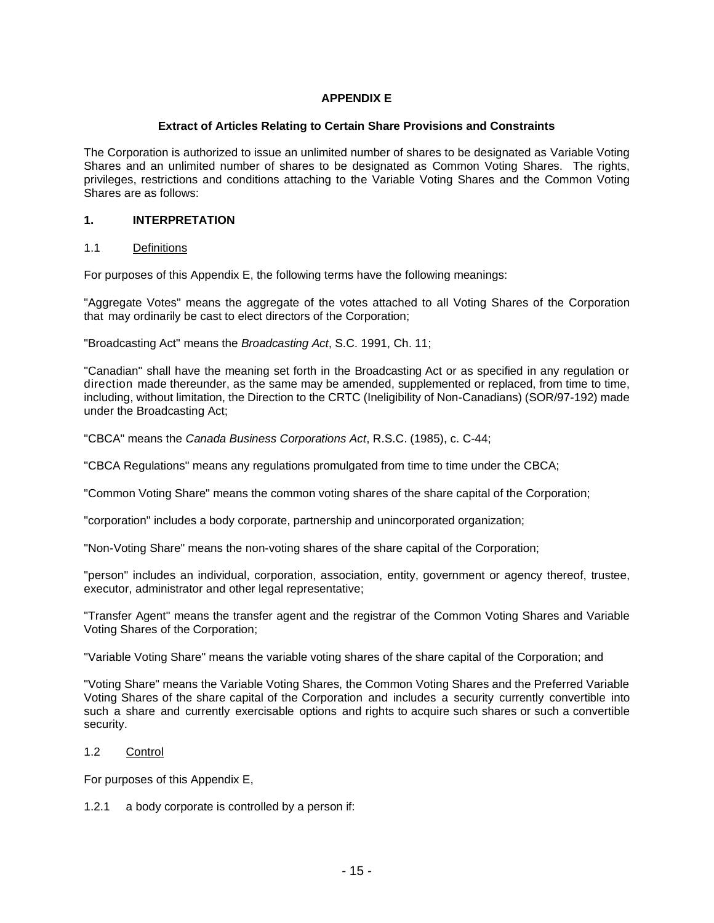## **APPENDIX E**

#### **Extract of Articles Relating to Certain Share Provisions and Constraints**

The Corporation is authorized to issue an unlimited number of shares to be designated as Variable Voting Shares and an unlimited number of shares to be designated as Common Voting Shares. The rights, privileges, restrictions and conditions attaching to the Variable Voting Shares and the Common Voting Shares are as follows:

#### **1. INTERPRETATION**

#### 1.1 Definitions

For purposes of this Appendix E, the following terms have the following meanings:

"Aggregate Votes" means the aggregate of the votes attached to all Voting Shares of the Corporation that may ordinarily be cast to elect directors of the Corporation;

"Broadcasting Act" means the *Broadcasting Act*, S.C. 1991, Ch. 11;

"Canadian" shall have the meaning set forth in the Broadcasting Act or as specified in any regulation or direction made thereunder, as the same may be amended, supplemented or replaced, from time to time, including, without limitation, the Direction to the CRTC (Ineligibility of Non-Canadians) (SOR/97-192) made under the Broadcasting Act;

"CBCA" means the *Canada Business Corporations Act*, R.S.C. (1985), c. C-44;

"CBCA Regulations" means any regulations promulgated from time to time under the CBCA;

"Common Voting Share" means the common voting shares of the share capital of the Corporation;

"corporation" includes a body corporate, partnership and unincorporated organization;

"Non-Voting Share" means the non-voting shares of the share capital of the Corporation;

"person" includes an individual, corporation, association, entity, government or agency thereof, trustee, executor, administrator and other legal representative;

"Transfer Agent" means the transfer agent and the registrar of the Common Voting Shares and Variable Voting Shares of the Corporation;

"Variable Voting Share" means the variable voting shares of the share capital of the Corporation; and

"Voting Share" means the Variable Voting Shares, the Common Voting Shares and the Preferred Variable Voting Shares of the share capital of the Corporation and includes a security currently convertible into such a share and currently exercisable options and rights to acquire such shares or such a convertible security.

## 1.2 Control

For purposes of this Appendix E,

1.2.1 a body corporate is controlled by a person if: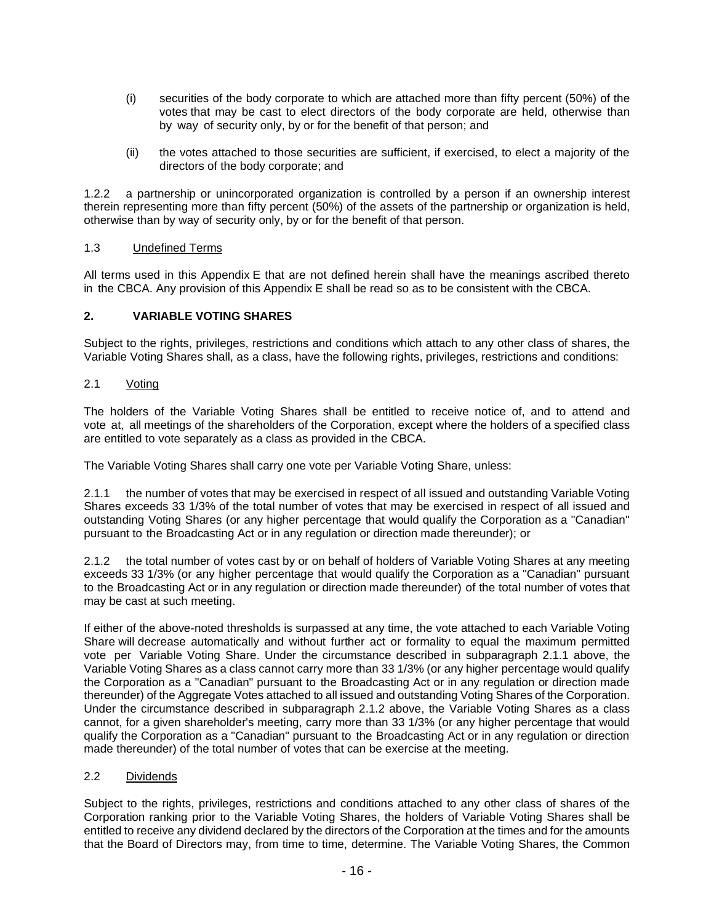- (i) securities of the body corporate to which are attached more than fifty percent (50%) of the votes that may be cast to elect directors of the body corporate are held, otherwise than by way of security only, by or for the benefit of that person; and
- (ii) the votes attached to those securities are sufficient, if exercised, to elect a majority of the directors of the body corporate; and

1.2.2 a partnership or unincorporated organization is controlled by a person if an ownership interest therein representing more than fifty percent (50%) of the assets of the partnership or organization is held, otherwise than by way of security only, by or for the benefit of that person.

## 1.3 Undefined Terms

All terms used in this Appendix E that are not defined herein shall have the meanings ascribed thereto in the CBCA. Any provision of this Appendix E shall be read so as to be consistent with the CBCA.

## **2. VARIABLE VOTING SHARES**

Subject to the rights, privileges, restrictions and conditions which attach to any other class of shares, the Variable Voting Shares shall, as a class, have the following rights, privileges, restrictions and conditions:

## 2.1 Voting

The holders of the Variable Voting Shares shall be entitled to receive notice of, and to attend and vote at, all meetings of the shareholders of the Corporation, except where the holders of a specified class are entitled to vote separately as a class as provided in the CBCA.

The Variable Voting Shares shall carry one vote per Variable Voting Share, unless:

2.1.1 the number of votes that may be exercised in respect of all issued and outstanding Variable Voting Shares exceeds 33 1/3% of the total number of votes that may be exercised in respect of all issued and outstanding Voting Shares (or any higher percentage that would qualify the Corporation as a "Canadian" pursuant to the Broadcasting Act or in any regulation or direction made thereunder); or

2.1.2 the total number of votes cast by or on behalf of holders of Variable Voting Shares at any meeting exceeds 33 1/3% (or any higher percentage that would qualify the Corporation as a "Canadian" pursuant to the Broadcasting Act or in any regulation or direction made thereunder) of the total number of votes that may be cast at such meeting.

If either of the above-noted thresholds is surpassed at any time, the vote attached to each Variable Voting Share will decrease automatically and without further act or formality to equal the maximum permitted vote per Variable Voting Share. Under the circumstance described in subparagraph 2.1.1 above, the Variable Voting Shares as a class cannot carry more than 33 1/3% (or any higher percentage would qualify the Corporation as a "Canadian" pursuant to the Broadcasting Act or in any regulation or direction made thereunder) of the Aggregate Votes attached to all issued andoutstanding Voting Shares of the Corporation. Under the circumstance described in subparagraph 2.1.2 above, the Variable Voting Shares as a class cannot, for a given shareholder's meeting, carry more than 33 1/3% (or any higher percentage that would qualify the Corporation as a "Canadian" pursuant to the Broadcasting Act or in any regulation or direction made thereunder) of the total number of votes that can be exercise at the meeting.

#### 2.2 Dividends

Subject to the rights, privileges, restrictions and conditions attached to any other class of shares of the Corporation ranking prior to the Variable Voting Shares, the holders of Variable Voting Shares shall be entitled to receive any dividend declared by the directors of the Corporation at the times and for the amounts that the Board of Directors may, from time to time, determine. The Variable Voting Shares, the Common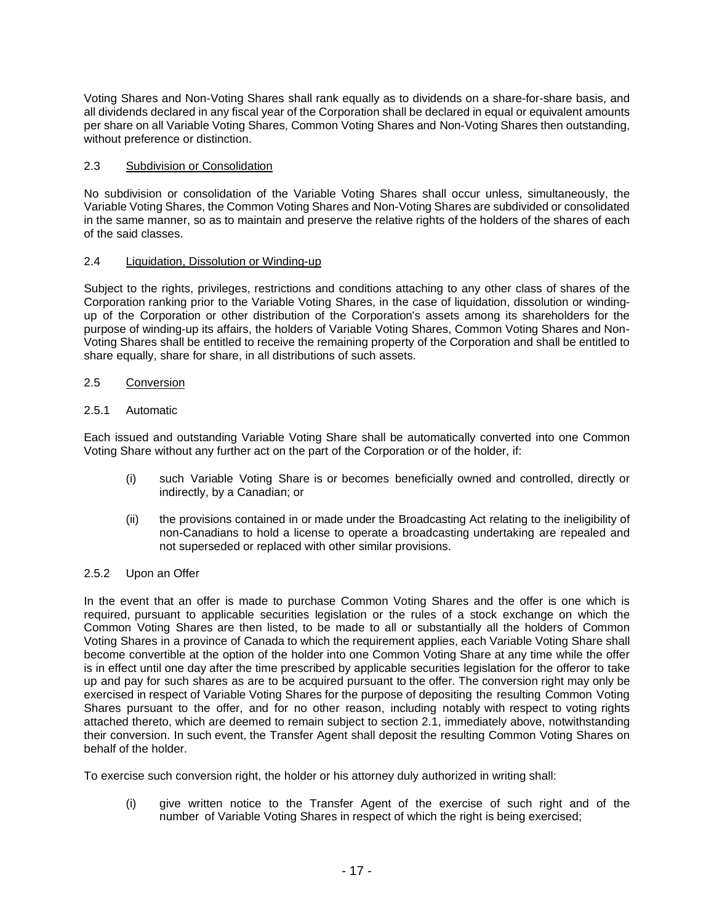Voting Shares and Non-Voting Shares shall rank equally as to dividends on a share-for-share basis, and all dividends declared in any fiscal year of the Corporation shall be declared in equal or equivalent amounts per share on all Variable Voting Shares, Common Voting Shares and Non-Voting Shares then outstanding, without preference or distinction.

## 2.3 Subdivision or Consolidation

No subdivision or consolidation of the Variable Voting Shares shall occur unless, simultaneously, the Variable Voting Shares, the Common Voting Shares and Non-Voting Shares are subdivided or consolidated in the same manner, so as to maintain and preserve the relative rights of the holders of the shares of each of the said classes.

## 2.4 Liquidation, Dissolution or Winding-up

Subject to the rights, privileges, restrictions and conditions attaching to any other class of shares of the Corporation ranking prior to the Variable Voting Shares, in the case of liquidation, dissolution or windingup of the Corporation or other distribution of the Corporation's assets among its shareholders for the purpose of winding-up its affairs, the holders of Variable Voting Shares, Common Voting Shares and Non-Voting Shares shall be entitled to receive the remaining property of the Corporation and shall be entitled to share equally, share for share, in all distributions of such assets.

#### 2.5 Conversion

#### 2.5.1 Automatic

Each issued and outstanding Variable Voting Share shall be automatically converted into one Common Voting Share without any further act on the part of the Corporation or of the holder, if:

- (i) such Variable Voting Share is or becomes beneficially owned and controlled, directly or indirectly, by a Canadian; or
- (ii) the provisions contained in or made under the Broadcasting Act relating to the ineligibility of non-Canadians to hold a license to operate a broadcasting undertaking are repealed and not superseded or replaced with other similar provisions.

#### 2.5.2 Upon an Offer

In the event that an offer is made to purchase Common Voting Shares and the offer is one which is required, pursuant to applicable securities legislation or the rules of a stock exchange on which the Common Voting Shares are then listed, to be made to all or substantially all the holders of Common Voting Shares in a province of Canada to which the requirement applies, each Variable Voting Share shall become convertible at the option of the holder into one Common Voting Share at any time while the offer is in effect until one day after the time prescribed by applicable securities legislation for the offeror to take up and pay for such shares as are to be acquired pursuant to the offer. The conversion right may only be exercised in respect of Variable Voting Shares for the purpose of depositing the resulting Common Voting Shares pursuant to the offer, and for no other reason, including notably with respect to voting rights attached thereto, which are deemed to remain subject to section 2.1, immediately above, notwithstanding their conversion. In such event, the Transfer Agent shall deposit the resulting Common Voting Shares on behalf of the holder.

To exercise such conversion right, the holder or his attorney duly authorized in writing shall:

(i) give written notice to the Transfer Agent of the exercise of such right and of the number of Variable Voting Shares in respect of which the right is being exercised;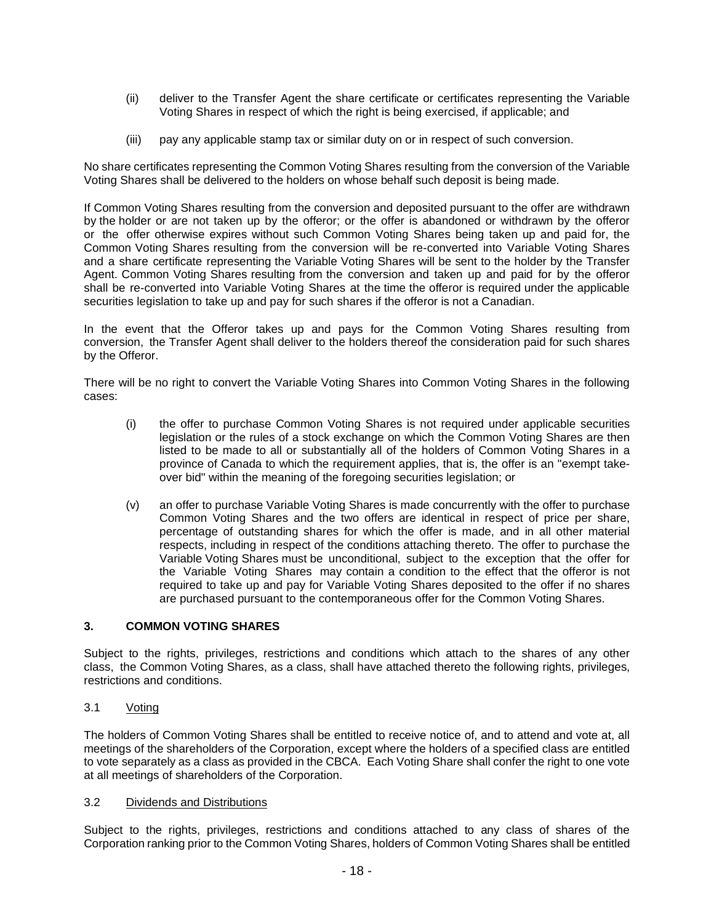- (ii) deliver to the Transfer Agent the share certificate or certificates representing the Variable Voting Shares in respect of which the right is being exercised, if applicable; and
- (iii) pay any applicable stamp tax or similar duty on or in respect of such conversion.

No share certificates representing the Common Voting Shares resulting from the conversion of the Variable Voting Shares shall be delivered to the holders on whose behalf such deposit is being made.

If Common Voting Shares resulting from the conversion and deposited pursuant to the offer are withdrawn by the holder or are not taken up by the offeror; or the offer is abandoned or withdrawn by the offeror or the offer otherwise expires without such Common Voting Shares being taken up and paid for, the Common Voting Shares resulting from the conversion will be re-converted into Variable Voting Shares and a share certificate representing the Variable Voting Shares will be sent to the holder by the Transfer Agent. Common Voting Shares resulting from the conversion and taken up and paid for by the offeror shall be re-converted into Variable Voting Shares at the time the offeror is required under the applicable securities legislation to take up and pay for such shares if the offeror is not a Canadian.

In the event that the Offeror takes up and pays for the Common Voting Shares resulting from conversion, the Transfer Agent shall deliver to the holders thereof the consideration paid for such shares by the Offeror.

There will be no right to convert the Variable Voting Shares into Common Voting Shares in the following cases:

- (i) the offer to purchase Common Voting Shares is not required under applicable securities legislation or the rules of a stock exchange on which the Common Voting Shares are then listed to be made to all or substantially all of the holders of Common Voting Shares in a province of Canada to which the requirement applies, that is, the offer is an "exempt takeover bid" within the meaning of the foregoing securities legislation; or
- (v) an offer to purchase Variable Voting Shares is made concurrently with the offer to purchase Common Voting Shares and the two offers are identical in respect of price per share, percentage of outstanding shares for which the offer is made, and in all other material respects, including in respect of the conditions attaching thereto. The offer to purchase the Variable Voting Shares must be unconditional, subject to the exception that the offer for the Variable Voting Shares may contain a condition to the effect that the offeror is not required to take up and pay for Variable Voting Shares deposited to the offer if no shares are purchased pursuant to the contemporaneous offer for the Common Voting Shares.

## **3. COMMON VOTING SHARES**

Subject to the rights, privileges, restrictions and conditions which attach to the shares of any other class, the Common Voting Shares, as a class, shall have attached thereto the following rights, privileges, restrictions and conditions.

#### 3.1 Voting

The holders of Common Voting Shares shall be entitled to receive notice of, and to attend and vote at, all meetings of the shareholders of the Corporation, except where the holders of a specified class are entitled to vote separately as a class as provided in the CBCA. Each Voting Share shall confer the right to one vote at all meetings of shareholders of the Corporation.

#### 3.2 Dividends and Distributions

Subject to the rights, privileges, restrictions and conditions attached to any class of shares of the Corporation ranking prior to the Common Voting Shares, holders of Common Voting Shares shall be entitled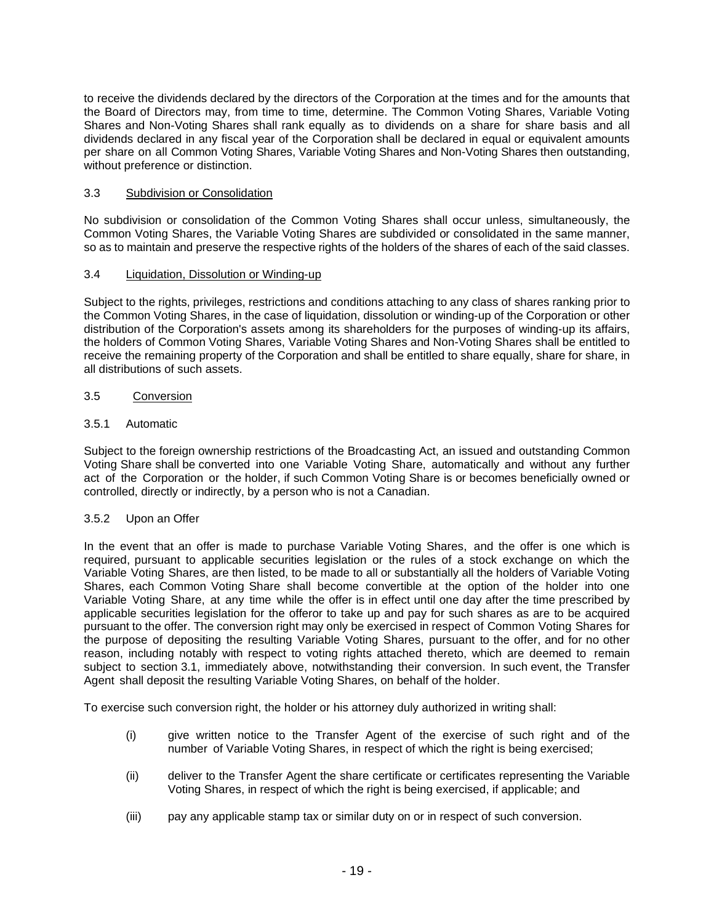to receive the dividends declared by the directors of the Corporation at the times and for the amounts that the Board of Directors may, from time to time, determine. The Common Voting Shares, Variable Voting Shares and Non-Voting Shares shall rank equally as to dividends on a share for share basis and all dividends declared in any fiscal year of the Corporation shall be declared in equal or equivalent amounts per share on all Common Voting Shares, Variable Voting Shares and Non-Voting Shares then outstanding, without preference or distinction.

## 3.3 Subdivision or Consolidation

No subdivision or consolidation of the Common Voting Shares shall occur unless, simultaneously, the Common Voting Shares, the Variable Voting Shares are subdivided or consolidated in the same manner, so as to maintain and preserve the respective rights of the holders of the shares of each of the said classes.

## 3.4 Liquidation, Dissolution or Winding-up

Subject to the rights, privileges, restrictions and conditions attaching to any class of shares ranking prior to the Common Voting Shares, in the case of liquidation, dissolution or winding-up of the Corporation or other distribution of the Corporation's assets among its shareholders for the purposes of winding-up its affairs, the holders of Common Voting Shares, Variable Voting Shares and Non-Voting Shares shall be entitled to receive the remaining property of the Corporation and shall be entitled to share equally, share for share, in all distributions of such assets.

## 3.5 Conversion

## 3.5.1 Automatic

Subject to the foreign ownership restrictions of the Broadcasting Act, an issued and outstanding Common Voting Share shall be converted into one Variable Voting Share, automatically and without any further act of the Corporation or the holder, if such Common Voting Share is or becomes beneficially owned or controlled, directly or indirectly, by a person who is not a Canadian.

## 3.5.2 Upon an Offer

In the event that an offer is made to purchase Variable Voting Shares, and the offer is one which is required, pursuant to applicable securities legislation or the rules of a stock exchange on which the Variable Voting Shares, are then listed, to be made to all or substantially all the holders of Variable Voting Shares, each Common Voting Share shall become convertible at the option of the holder into one Variable Voting Share, at any time while the offer is in effect until one day after the time prescribed by applicable securities legislation for the offeror to take up and pay for such shares as are to be acquired pursuant to the offer. The conversion right may only be exercised in respect of Common Voting Shares for the purpose of depositing the resulting Variable Voting Shares, pursuant to the offer, and for no other reason, including notably with respect to voting rights attached thereto, which are deemed to remain subject to section 3.1, immediately above, notwithstanding their conversion. In such event, the Transfer Agent shall deposit the resulting Variable Voting Shares, on behalf of the holder.

To exercise such conversion right, the holder or his attorney duly authorized in writing shall:

- (i) give written notice to the Transfer Agent of the exercise of such right and of the number of Variable Voting Shares, in respect of which the right is being exercised;
- (ii) deliver to the Transfer Agent the share certificate or certificates representing the Variable Voting Shares, in respect of which the right is being exercised, if applicable; and
- (iii) pay any applicable stamp tax or similar duty on or in respect of such conversion.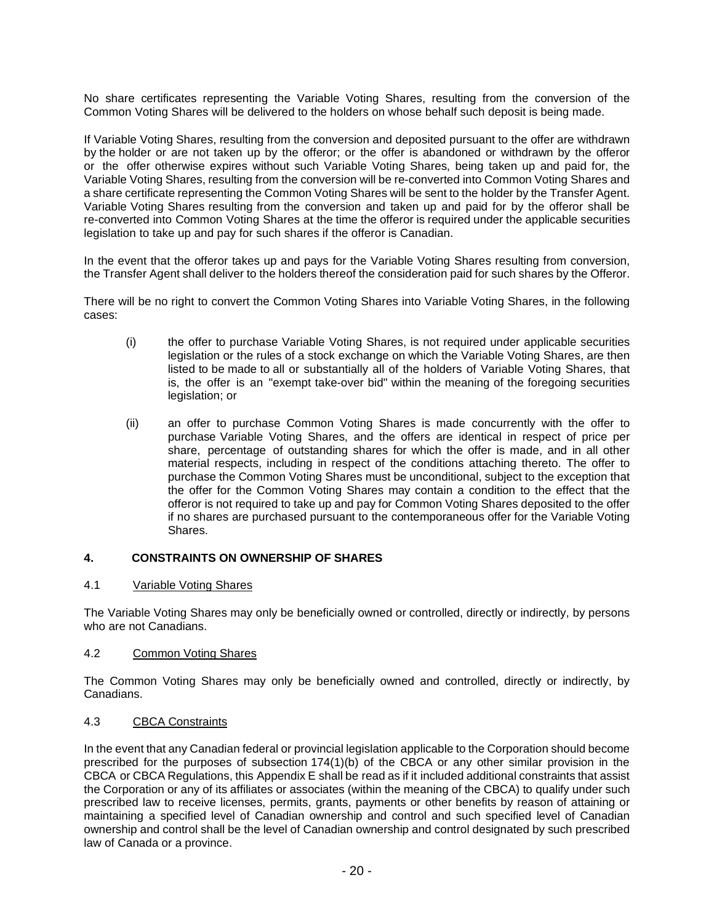No share certificates representing the Variable Voting Shares, resulting from the conversion of the Common Voting Shares will be delivered to the holders on whose behalf such deposit is being made.

If Variable Voting Shares, resulting from the conversion and deposited pursuant to the offer are withdrawn by the holder or are not taken up by the offeror; or the offer is abandoned or withdrawn by the offeror or the offer otherwise expires without such Variable Voting Shares, being taken up and paid for, the Variable Voting Shares, resulting from the conversion will be re-converted into Common Voting Shares and a share certificate representing the Common Voting Shares will be sent to the holder by the Transfer Agent. Variable Voting Shares resulting from the conversion and taken up and paid for by the offeror shall be re-converted into Common Voting Shares at the time the offeror is required under the applicable securities legislation to take up and pay for such shares if the offeror is Canadian.

In the event that the offeror takes up and pays for the Variable Voting Shares resulting from conversion, the Transfer Agent shall deliver to the holders thereof the consideration paid for such shares by the Offeror.

There will be no right to convert the Common Voting Shares into Variable Voting Shares, in the following cases:

- (i) the offer to purchase Variable Voting Shares, is not required under applicable securities legislation or the rules of a stock exchange on which the Variable Voting Shares, are then listed to be made to all or substantially all of the holders of Variable Voting Shares, that is, the offer is an "exempt take-over bid" within the meaning of the foregoing securities legislation; or
- (ii) an offer to purchase Common Voting Shares is made concurrently with the offer to purchase Variable Voting Shares, and the offers are identical in respect of price per share, percentage of outstanding shares for which the offer is made, and in all other material respects, including in respect of the conditions attaching thereto. The offer to purchase the Common Voting Shares must be unconditional, subject to the exception that the offer for the Common Voting Shares may contain a condition to the effect that the offeror is not required to take up and pay for Common Voting Shares deposited to the offer if no shares are purchased pursuant to the contemporaneous offer for the Variable Voting Shares.

## **4. CONSTRAINTS ON OWNERSHIP OF SHARES**

#### 4.1 Variable Voting Shares

The Variable Voting Shares may only be beneficially owned or controlled, directly or indirectly, by persons who are not Canadians.

## 4.2 Common Voting Shares

The Common Voting Shares may only be beneficially owned and controlled, directly or indirectly, by Canadians.

#### 4.3 CBCA Constraints

In the event that any Canadian federal or provincial legislation applicable to the Corporation should become prescribed for the purposes of subsection  $174(1)(b)$  of the CBCA or any other similar provision in the CBCA or CBCA Regulations, this Appendix E shall be read as if it included additional constraints that assist the Corporation or any of its affiliates or associates (within the meaning of the CBCA) to qualify under such prescribed law to receive licenses, permits, grants, payments or other benefits by reason of attaining or maintaining a specified level of Canadian ownership and control and such specified level of Canadian ownership and control shall be the level of Canadian ownership and control designated by such prescribed law of Canada or a province.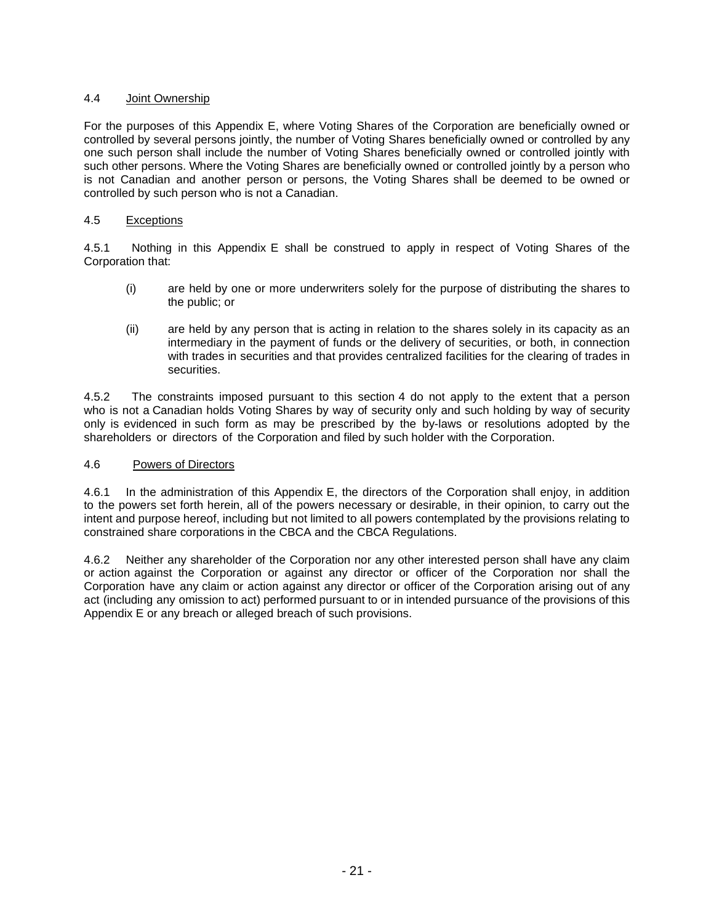## 4.4 Joint Ownership

For the purposes of this Appendix E, where Voting Shares of the Corporation are beneficially owned or controlled by several persons jointly, the number of Voting Shares beneficially owned or controlled by any one such person shall include the number of Voting Shares beneficially owned or controlled jointly with such other persons. Where the Voting Shares are beneficially owned or controlled jointly by a person who is not Canadian and another person or persons, the Voting Shares shall be deemed to be owned or controlled by such person who is not a Canadian.

#### 4.5 Exceptions

4.5.1 Nothing in this Appendix E shall be construed to apply in respect of Voting Shares of the Corporation that:

- (i) are held by one or more underwriters solely for the purpose of distributing the shares to the public; or
- (ii) are held by any person that is acting in relation to the shares solely in its capacity as an intermediary in the payment of funds or the delivery of securities, or both, in connection with trades in securities and that provides centralized facilities for the clearing of trades in securities.

4.5.2 The constraints imposed pursuant to this section 4 do not apply to the extent that a person who is not a Canadian holds Voting Shares by way of security only and such holding by way of security only is evidenced in such form as may be prescribed by the by-laws or resolutions adopted by the shareholders or directors of the Corporation and filed by such holder with the Corporation.

#### 4.6 Powers of Directors

4.6.1 In the administration of this Appendix E, the directors of the Corporation shall enjoy, in addition to the powers set forth herein, all of the powers necessary or desirable, in their opinion, to carry out the intent and purpose hereof, including but not limited to all powers contemplated by the provisions relating to constrained share corporations in the CBCA and the CBCA Regulations.

4.6.2 Neither any shareholder of the Corporation nor any other interested person shall have any claim or action against the Corporation or against any director or officer of the Corporation nor shall the Corporation have any claim or action against any director or officer of the Corporation arising out of any act (including any omission to act) performed pursuant to or in intended pursuance of the provisions of this Appendix E or any breach or alleged breach of such provisions.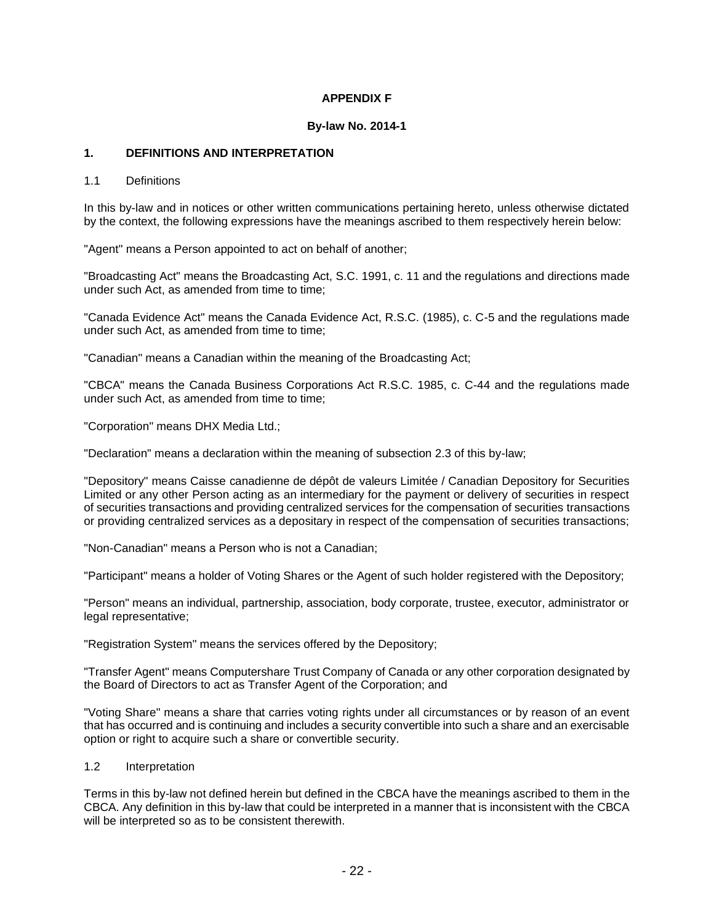## **APPENDIX F**

#### **By-law No. 2014-1**

## **1. DEFINITIONS AND INTERPRETATION**

#### 1.1 Definitions

In this by-law and in notices or other written communications pertaining hereto, unless otherwise dictated by the context, the following expressions have the meanings ascribed to them respectively herein below:

"Agent" means a Person appointed to act on behalf of another;

"Broadcasting Act" means the Broadcasting Act, S.C. 1991, c. 11 and the regulations and directions made under such Act, as amended from time to time;

"Canada Evidence Act" means the Canada Evidence Act, R.S.C. (1985), c. C-5 and the regulations made under such Act, as amended from time to time;

"Canadian" means a Canadian within the meaning of the Broadcasting Act;

"CBCA" means the Canada Business Corporations Act R.S.C. 1985, c. C-44 and the regulations made under such Act, as amended from time to time;

"Corporation" means DHX Media Ltd.;

"Declaration" means a declaration within the meaning of subsection 2.3 of this by-law;

"Depository" means Caisse canadienne de dépôt de valeurs Limitée / Canadian Depository for Securities Limited or any other Person acting as an intermediary for the payment or delivery of securities in respect of securities transactions and providing centralized services for the compensation of securities transactions or providing centralized services as a depositary in respect of the compensation of securities transactions;

"Non-Canadian" means a Person who is not a Canadian;

"Participant" means a holder of Voting Shares or the Agent of such holder registered with the Depository;

"Person" means an individual, partnership, association, body corporate, trustee, executor, administrator or legal representative;

"Registration System" means the services offered by the Depository;

"Transfer Agent" means Computershare Trust Company of Canada or any other corporation designated by the Board of Directors to act as Transfer Agent of the Corporation; and

"Voting Share" means a share that carries voting rights under all circumstances or by reason of an event that has occurred and is continuing and includes a security convertible into such a share and an exercisable option or right to acquire such a share or convertible security.

#### 1.2 Interpretation

Terms in this by-law not defined herein but defined in the CBCA have the meanings ascribed to them in the CBCA. Any definition in this by-law that could be interpreted in a manner that is inconsistent with the CBCA will be interpreted so as to be consistent therewith.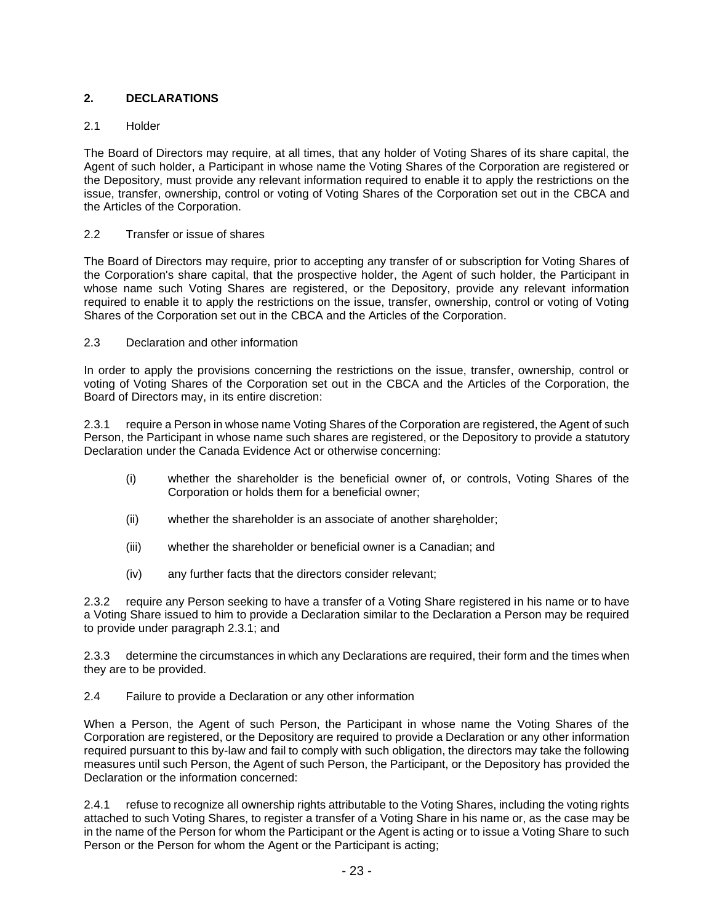## **2. DECLARATIONS**

## 2.1 Holder

The Board of Directors may require, at all times, that any holder of Voting Shares of its share capital, the Agent of such holder, a Participant in whose name the Voting Shares of the Corporation are registered or the Depository, must provide any relevant information required to enable it to apply the restrictions on the issue, transfer, ownership, control or voting of Voting Shares of the Corporation set out in the CBCA and the Articles of the Corporation.

#### 2.2 Transfer or issue of shares

The Board of Directors may require, prior to accepting any transfer of or subscription for Voting Shares of the Corporation's share capital, that the prospective holder, the Agent of such holder, the Participant in whose name such Voting Shares are registered, or the Depository, provide any relevant information required to enable it to apply the restrictions on the issue, transfer, ownership, control or voting of Voting Shares of the Corporation set out in the CBCA and the Articles of the Corporation.

#### 2.3 Declaration and other information

In order to apply the provisions concerning the restrictions on the issue, transfer, ownership, control or voting of Voting Shares of the Corporation set out in the CBCA and the Articles of the Corporation, the Board of Directors may, in its entire discretion:

2.3.1 require a Person in whose name Voting Shares of the Corporation are registered, the Agent of such Person, the Participant in whose name such shares are registered, or the Depository to provide a statutory Declaration under the Canada Evidence Act or otherwise concerning:

- (i) whether the shareholder is the beneficial owner of, or controls, Voting Shares of the Corporation or holds them for a beneficial owner;
- (ii) whether the shareholder is an associate of another shareholder;
- (iii) whether the shareholder or beneficial owner is a Canadian; and
- (iv) any further facts that the directors consider relevant;

2.3.2 require any Person seeking to have a transfer of a Voting Share registered in his name or to have a Voting Share issued to him to provide a Declaration similar to the Declaration a Person may be required to provide under paragraph 2.3.1; and

2.3.3 determine the circumstances in which any Declarations are required, their form and the times when they are to be provided.

2.4 Failure to provide a Declaration or any other information

When a Person, the Agent of such Person, the Participant in whose name the Voting Shares of the Corporation are registered, or the Depository are required to provide a Declaration or any other information required pursuant to this by-law and fail to comply with such obligation, the directors may take the following measures until such Person, the Agent of such Person, the Participant, or the Depository has provided the Declaration or the information concerned:

2.4.1 refuse to recognize all ownership rights attributable to the Voting Shares, including the voting rights attached to such Voting Shares, to register a transfer of a Voting Share in his name or, as the case may be in the name of the Person for whom the Participant or the Agent is acting or to issue a Voting Share to such Person or the Person for whom the Agent or the Participant is acting;